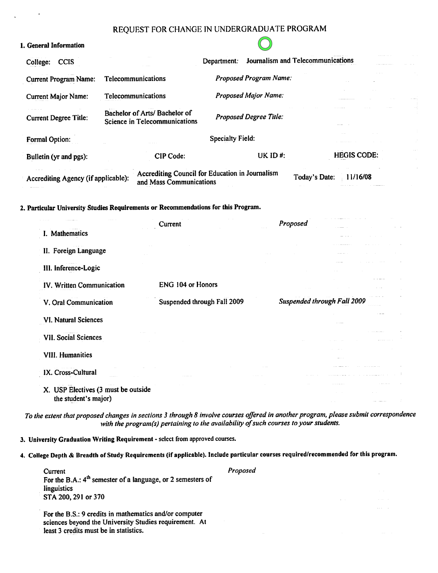# REOUEST FOR CHANGE IN UNDERGRADUATE PROGRAM

## 1. General Information

| <b>CCIS</b><br>College:                                                                                                                              |  |                                                                            | Department:                                                                            |             | Journalism and Telecommunications |
|------------------------------------------------------------------------------------------------------------------------------------------------------|--|----------------------------------------------------------------------------|----------------------------------------------------------------------------------------|-------------|-----------------------------------|
| <b>Telecommunications</b><br><b>Current Program Name:</b><br><b>Telecommunications</b><br><b>Current Major Name:</b><br><b>Current Degree Title:</b> |  |                                                                            | Proposed Program Name:<br><b>Proposed Major Name:</b><br><b>Proposed Degree Title:</b> |             |                                   |
|                                                                                                                                                      |  |                                                                            |                                                                                        |             |                                   |
|                                                                                                                                                      |  | Bachelor of Arts/ Bachelor of<br><b>Science in Telecommunications</b>      |                                                                                        |             |                                   |
| <b>Formal Option:</b>                                                                                                                                |  |                                                                            | <b>Specialty Field:</b>                                                                |             |                                   |
| Bulletin (yr and pgs):                                                                                                                               |  | <b>CIP Code:</b>                                                           |                                                                                        | UK ID $#$ : | <b>HEGIS CODE:</b>                |
| Accrediting Agency (if applicable):                                                                                                                  |  | Accrediting Council for Education in Journalism<br>and Mass Communications |                                                                                        |             | 11/16/08<br>Today's Date:         |

## 2. Particular University Studies Requirements or Recommendations for this Program.

|                                     | Current                     | Proposed                    |  |
|-------------------------------------|-----------------------------|-----------------------------|--|
| I. Mathematics                      |                             |                             |  |
| II. Foreign Language                |                             |                             |  |
|                                     |                             |                             |  |
| III. Inference-Logic                |                             |                             |  |
| IV. Written Communication           | ENG 104 or Honors           |                             |  |
| V. Oral Communication               | Suspended through Fall 2009 | Suspended through Fall 2009 |  |
| VI. Natural Sciences                |                             |                             |  |
| VII. Social Sciences                |                             |                             |  |
|                                     |                             |                             |  |
| <b>VIII. Humanities</b>             |                             |                             |  |
| IX. Cross-Cultural                  |                             |                             |  |
| $\omega$ is a second to .           |                             |                             |  |
| X. USP Electives (3 must be outside |                             |                             |  |
| the student's major)                |                             |                             |  |

To the extent that proposed changes in sections 3 through 8 involve courses offered in another program, please submit correspondence with the program(s) pertaining to the availability of such courses to your students.

Proposed

3. University Graduation Writing Requirement - select from approved courses.

4. College Depth & Breadth of Study Requirements (if applicable). Include particular courses required/recommended for this program.

Current For the B.A.:  $4<sup>th</sup>$  semester of a language, or 2 semesters of linguistics STA 200, 291 or 370

For the B.S.: 9 credits in mathematics and/or computer sciences beyond the University Studies requirement. At least 3 credits must be in statistics.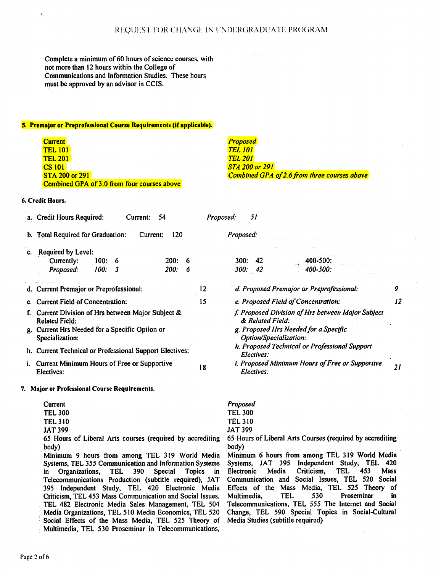Complete a minimum of 60 hours of science courses, with not more than 12 hours within the College of Communications and lnformation Studies. These hours must be approved by an advisor in CCIS.

#### **5. Premajor or Preprofessional Course Requirements (if applicable).**

**Current** TEL 101 **TEL 201** CS 101 **STA 200 or 291** Combined GPA of 3.0 from four courses above *Proposed TEL 101 TEL 201 STA* 200 *or 291*  **Combined GPA of 2.6 from three courses above** 

#### **6. Credit Hours.**

|                                                                                                                                                  | a. Credit Hours Required:<br>54<br>Current:                                                              | Proposed: | 51                                                                                                                                       |   |  |  |
|--------------------------------------------------------------------------------------------------------------------------------------------------|----------------------------------------------------------------------------------------------------------|-----------|------------------------------------------------------------------------------------------------------------------------------------------|---|--|--|
|                                                                                                                                                  | b. Total Required for Graduation:<br>120<br>Current:                                                     |           | Proposed:                                                                                                                                |   |  |  |
|                                                                                                                                                  | c. Required by Level:<br>100:<br>200:<br>Currently:<br>- 6<br>- 6<br>100:<br>200:<br>Proposed:<br>3<br>6 |           | 300:42<br>$400 - 500$ :<br>$400 - 500$ :<br>300:42                                                                                       |   |  |  |
|                                                                                                                                                  | d. Current Premajor or Preprofessional:                                                                  | 12        | d. Proposed Premajor or Preprofessional:                                                                                                 | 9 |  |  |
|                                                                                                                                                  | e. Current Field of Concentration:                                                                       | 15        | e. Proposed Field of Concentration:                                                                                                      |   |  |  |
| f. Current Division of Hrs between Major Subject &<br><b>Related Field:</b><br>g. Current Hrs Needed for a Specific Option or<br>Specialization: |                                                                                                          |           | f. Proposed Division of Hrs between Major Subject<br>& Related Field:<br>g. Proposed Hrs Needed for a Specific<br>Option/Specialization: |   |  |  |
|                                                                                                                                                  | h. Current Technical or Professional Support Electives:                                                  |           | h. Proposed Technical or Professional Support<br>Electives:                                                                              |   |  |  |
|                                                                                                                                                  | i. Current Minimum Hours of Free or Supportive<br>Electives:                                             | 18        | i. Proposed Minimum Hours of Free or Supportive<br>Electives:                                                                            |   |  |  |
|                                                                                                                                                  | Maior or Professional Course Requirements.                                                               |           |                                                                                                                                          |   |  |  |

**7. Major or Professional Course Requirements.** 

# *Proposed*  **TEL** 300 TEL 310

JAT 399

65 Hours of Liberal **Arts** Courses (required by accrediting body)

Minimum 6 hours fiom among TEL 319 World Media Systems, JAT 395 Independent Study, TEL 420<br>Electronic Media Criticism, TEL 453 Mass TEL 453 Communication and Social Issues, TEL 520 Social Effects of the Mass Media, TEL 525 Theory of<br>Multimedia, TEL 530 Proseminar in Multimedia, Telecommunications, TEL 555 The Internet and Social Change, TEL 590 Special Topics in Social-Cultural Media Studies (subtitle required)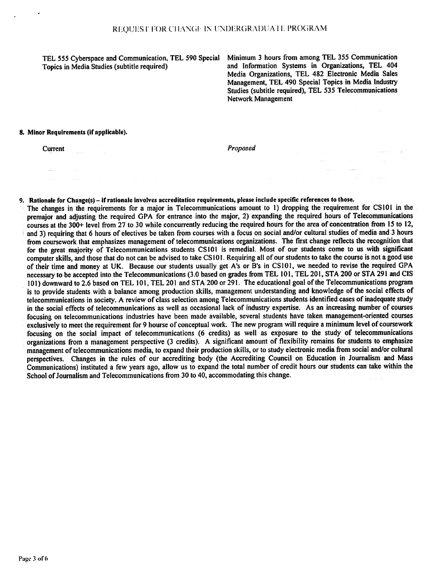TEL 555 Cyberspace and Communication, TEL 590 Special Topics in Media Studies (subtitle required)

Minimum 3 hours from among TEL 355 Communication and Information Systems in Organizations, TEL 404 Media Organizations, TEL 482 Electronic Media Sales Management, TEL 490 Special Topics in Media Industry Studies (subtitle required), TEL 535 Telecommunications Network Management

 $\sim 10^{11}$ 

 $\sim 100$  and  $\sim 10$ 

 $\sim 100$ 

#### 8. Minor Requirements (if applicable).

Current

and the state

Proposed

### 9. Rationale for Change(s) – if rationale involves accreditation requirements, please include specific references to those.

The changes in the requirements for a major in Telecommunications amount to 1) dropping the requirement for CS101 in the premaior and adjusting the required GPA for entrance into the major, 2) expanding the required hours of Telecommunications courses at the 300+ level from 27 to 30 while concurrently reducing the required hours for the area of concentration from 15 to 12. and 3) requiring that 6 hours of electives be taken from courses with a focus on social and/or cultural studies of media and 3 hours from coursework that emphasizes management of telecommunications organizations. The first change reflects the recognition that for the great majority of Telecommunications students CS101 is remedial. Most of our students come to us with significant computer skills, and those that do not can be advised to take CS101. Requiring all of our students to take the course is not a good use of their time and money at UK. Because our students usually get A's or B's in CS101, we needed to revise the required GPA necessary to be accepted into the Telecommunications (3.0 based on grades from TEL 101, TEL 201, STA 200 or STA 291 and CIS 101) downward to 2.6 based on TEL 101, TEL 201 and STA 200 or 291. The educational goal of the Telecommunications program is to provide students with a balance among production skills, management understanding and knowledge of the social effects of telecommunications in society. A review of class selection among Telecommunications students identified cases of inadequate study in the social effects of telecommunications as well as occasional lack of industry expertise. As an increasing number of courses focusing on telecommunications industries have been made available, several students have taken management-oriented courses exclusively to meet the requirement for 9 hourse of conceptual work. The new program will require a minimum level of coursework focusing on the social impact of telecommunications (6 credits) as well as exposure to the study of telecommunications organizations from a management perspective (3 credits). A significant amount of flexibility remains for students to emphasize management of telecommunications media, to expand their production skills, or to study electronic media from social and/or cultural perspectives. Changes in the rules of our accrediting body (the Accrediting Council on Education in Journalism and Mass Communications) instituted a few years ago, allow us to expand the total number of credit hours our students can take within the School of Journalism and Telecommunications from 30 to 40, accommodating this change.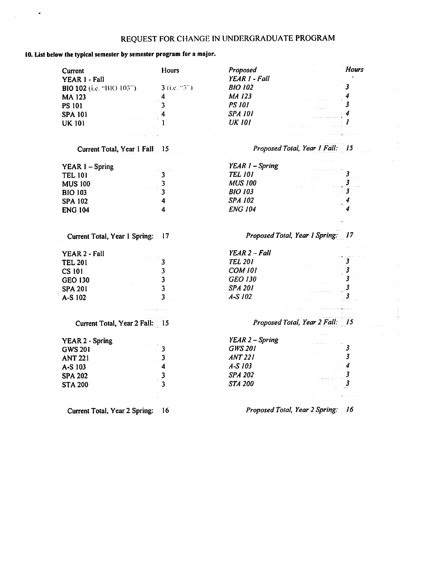# REQUEST FOR CHANGE IN UNDERGRADUATE PROGRAM

## 10. List below the typical semester by semester program for a major.

 $\bullet$ 

| Current                        | <b>Hours</b>            | Proposed                          | <b>Hours</b>                          |
|--------------------------------|-------------------------|-----------------------------------|---------------------------------------|
| YEAR I - Fall                  |                         | YEAR 1 - Fall                     |                                       |
| BIO 102 (i.e. "BIO 103")       | $3$ (i.e. $-3$ )        | <b>BIO 102</b>                    | 3                                     |
| <b>MA123</b>                   | 4                       | MA 123                            | 4                                     |
| <b>PS 101</b>                  | 3                       | <b>PS 101</b>                     | 3                                     |
| <b>SPA 101</b>                 | 4                       | <b>SPA 101</b>                    | 4                                     |
| <b>UK 101</b>                  |                         | <b>UK 101</b>                     | 1                                     |
|                                |                         |                                   |                                       |
| Current Total, Year 1 Fall     | 15                      | Proposed Total, Year 1 Fall: 15   |                                       |
| <b>YEAR 1 - Spring</b>         |                         | $YEAR$ $I$ – Spring               |                                       |
| <b>TEL 101</b>                 | 3                       | <b>TEL 101</b>                    | 3                                     |
| <b>MUS 100</b>                 | $\overline{\mathbf{3}}$ | <b>MUS 100</b>                    |                                       |
| <b>BIO 103</b>                 | $\overline{\mathbf{3}}$ | <b>BIO 103</b>                    | $\overline{\mathbf{3}}$               |
| <b>SPA 102</b>                 | $\overline{\mathbf{4}}$ | <b>SPA 102</b>                    |                                       |
| <b>ENG 104</b>                 | 4                       | <b>ENG 104</b>                    |                                       |
|                                |                         | Proposed Total, Year 1 Spring: 17 |                                       |
| Current Total, Year 1 Spring:  | 17                      |                                   |                                       |
| <b>YEAR 2 - Fall</b>           |                         | YEAR 2 - Fall                     |                                       |
| <b>TEL 201</b>                 | 3                       | <b>TEL 201</b>                    | 3                                     |
| <b>CS 101</b>                  | 3                       | <b>COM 101</b>                    | $\boldsymbol{\beta}$<br>$\mathcal{L}$ |
| <b>GEO 130</b>                 | 3                       | <b>GEO 130</b>                    | 3                                     |
| <b>SPA 201</b>                 | 3                       | <b>SPA 201</b>                    | 3                                     |
| A-S 102                        | 3                       | $A-S102$                          | $\overline{\mathbf{3}}$               |
|                                |                         |                                   |                                       |
| Current Total, Year 2 Fall: 15 |                         | Proposed Total, Year 2 Fall: 15   |                                       |
| <b>YEAR 2 - Spring</b>         |                         | YEAR 2 - Spring                   |                                       |
| <b>GWS 201</b>                 | 3                       | <b>GWS 201</b>                    | $\boldsymbol{\beta}$                  |
| <b>ANT 221</b>                 | 3                       | <b>ANT 221</b>                    | $\mathbf{3}$                          |
| A-S 103                        | $\overline{\mathbf{4}}$ | $A-S$ $103$                       |                                       |
| <b>SPA 202</b>                 | 3                       | <b>SPA 202</b>                    |                                       |
| <b>STA 200</b>                 | $\overline{\mathbf{3}}$ | <b>STA 200</b>                    |                                       |
|                                |                         |                                   |                                       |
|                                |                         |                                   |                                       |

Current Total, Year 2 Spring: 16

Proposed Total, Year 2 Spring: 16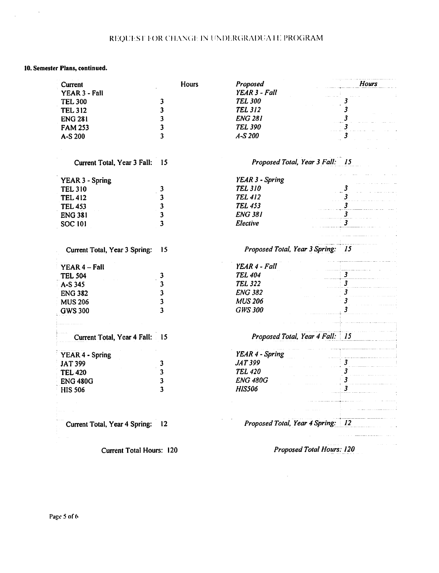# REQUEST FOR CHANGE IN UNDERGRADUATE PROGRAM

## 10. Semester Plans, continued.

 $\label{eq:2.1} \frac{1}{\sqrt{2\pi}}\int_{0}^{\infty}\frac{1}{\sqrt{2\pi}}\left(\frac{1}{\sqrt{2\pi}}\right)^{2}d\mu_{\rm{eff}}\,.$ 

| Current                        | Hours                   | Proposed                          | <b>Hours</b>                |
|--------------------------------|-------------------------|-----------------------------------|-----------------------------|
| YEAR 3 - Fall                  |                         | YEAR 3 - Fall                     |                             |
| <b>TEL 300</b>                 | 3                       | <b>TEL 300</b>                    |                             |
| <b>TEL 312</b>                 | 3                       | <b>TEL 312</b>                    | 3                           |
| <b>ENG 281</b>                 | 3                       | <b>ENG 281</b>                    |                             |
| <b>FAM 253</b>                 | 3                       | <b>TEL 390</b>                    |                             |
| A-S 200                        | 3                       | $A-S200$                          | 3                           |
|                                |                         |                                   |                             |
| Current Total, Year 3 Fall: 15 |                         | Proposed Total, Year 3 Fall: 15   |                             |
| <b>YEAR 3 - Spring</b>         |                         | YEAR 3 - Spring                   |                             |
| <b>TEL 310</b>                 | 3                       | <b>TEL 310</b>                    |                             |
| <b>TEL 412</b>                 | 3                       | <b>TEL 412</b>                    |                             |
| <b>TEL 453</b>                 | 3                       | <b>TEL 453</b>                    | $\overline{\mathbf{3}}$     |
| <b>ENG 381</b>                 | 3                       | <b>ENG 381</b>                    | $\overline{\mathbf{3}}$     |
| <b>SOC 101</b>                 | 3                       | Elective                          | $\overline{\mathbf{3}}$     |
|                                |                         |                                   |                             |
| Current Total, Year 3 Spring:  | 15                      | Proposed Total, Year 3 Spring: 15 |                             |
| YEAR 4 - Fall                  |                         | YEAR 4 - Fall                     |                             |
| <b>TEL 504</b>                 | 3                       | <b>TEL 404</b>                    | 3                           |
| A-S 345                        | 3                       | <b>TEL 322</b>                    | $\overline{\mathbf{3}}$     |
| <b>ENG 382</b>                 | $\mathbf{3}$            | <b>ENG 382</b>                    | 3                           |
| <b>MUS 206</b>                 | 3                       | <b>MUS 206</b>                    | 3                           |
| <b>GWS 300</b>                 | $\overline{\mathbf{3}}$ | <b>GWS 300</b>                    | 3                           |
|                                |                         |                                   |                             |
| Current Total, Year 4 Fall: 15 |                         | Proposed Total, Year 4 Fall: 15   |                             |
|                                |                         |                                   |                             |
| <b>YEAR 4 - Spring</b>         |                         | YEAR 4 - Spring                   |                             |
| <b>JAT 399</b>                 | 3                       | <b>JAT 399</b>                    | $\boldsymbol{\mathfrak{z}}$ |
| <b>TEL 420</b>                 | 3                       | <b>TEL 420</b>                    | 3                           |
| <b>ENG 480G</b>                | 3                       | <b>ENG 480G</b>                   |                             |
| <b>HIS 506</b>                 | 3                       | <b>HIS506</b>                     | $\overline{\mathbf{3}}$     |
|                                |                         |                                   |                             |
|                                |                         |                                   |                             |
| Current Total, Year 4 Spring:  | 12                      | Proposed Total, Year 4 Spring: 12 |                             |
|                                |                         |                                   |                             |

**Current Total Hours: 120** 

Proposed Total Hours: 120

 $\sim 10^{-1}$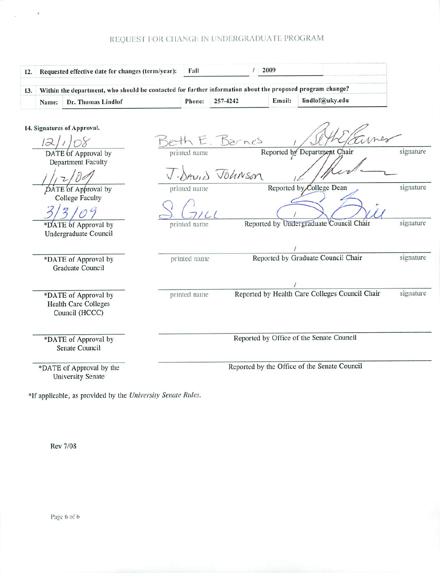# REQUEST FOR CHANGE IN UNDERGRADUATE PROGRAM

| 12. |       | Requested effective date for changes (term/year):                                                         | Fall         |                  | 2009 |        |                                                |           |
|-----|-------|-----------------------------------------------------------------------------------------------------------|--------------|------------------|------|--------|------------------------------------------------|-----------|
| 13. |       | Within the department, who should be contacted for further information about the proposed program change? |              |                  |      |        |                                                |           |
|     | Name: | Dr. Thomas Lindlof                                                                                        | Phone:       | 257-4242         |      | Email: | lindlof@uky.edu                                |           |
|     | 12    | 14. Signatures of Approval.                                                                               |              | eth E. Barnes    |      |        |                                                |           |
|     |       | DATE of Approval by<br>Department Faculty                                                                 |              | J. DAVID Johnson |      |        | Reported by Department Chair                   | signature |
|     |       | DATE of Approval by<br><b>College Faculty</b>                                                             | printed name |                  |      |        | Reported by College Dean                       | signature |
|     |       | *DATE of Approval by<br>Undergraduate Council                                                             | printed name |                  |      |        | Reported by Undergraduate Council Chair        | signature |
|     |       | *DATE of Approval by<br><b>Graduate Council</b>                                                           | printed name |                  |      |        | Reported by Graduate Council Chair             | signature |
|     |       | *DATE of Approval by<br><b>Health Care Colleges</b><br>Council (HCCC)                                     | printed name |                  |      |        | Reported by Health Care Colleges Council Chair | signature |
|     |       | *DATE of Approval by<br>Senate Council                                                                    |              |                  |      |        | Reported by Office of the Senate Council       |           |
|     |       | *DATE of Approval by the<br><b>University Senate</b>                                                      |              |                  |      |        | Reported by the Office of the Senate Council   |           |

\*If applicable, as provided by the University Senate Rules.

**Rev 7/08** 

 $\tau$ 

Page 6 of 6